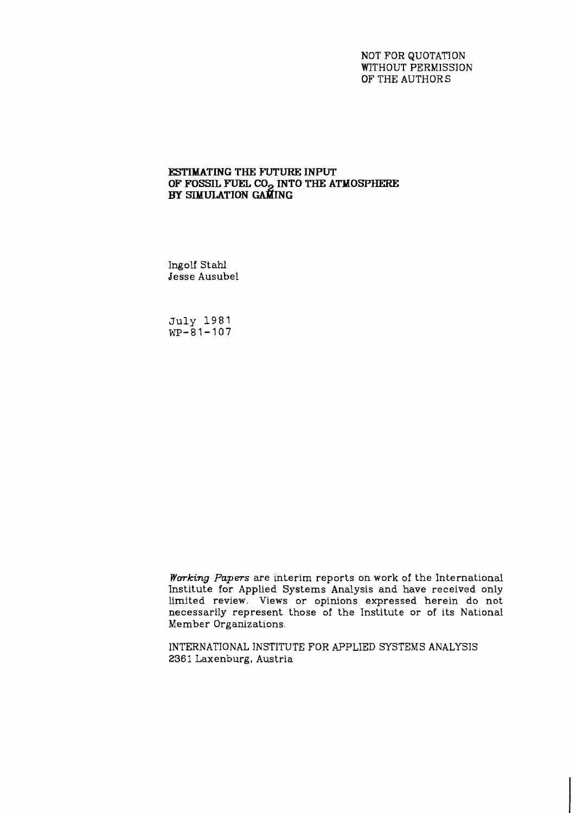# NOT FOR QUOTATION WITHOUT PERMISSION OF THE AUTHORS

# **ESTIMATING THE** F'UTURe **INPUT**  OF FOSSIL FUEL CO<sub>2</sub> INTO THE ATMOSPHERE **BY SIMULATION GAMING**

Ingolf Stahl Jesse Ausubel

July **1981 WP-81-107** 

**Working** *Papers* are interim reports on work of the International Institute for Applied Systems Analysis and have received only limited review. Views or opinions expressed herein do not necessarily represent those of the Institute or of its National Member Organizations.

INTERNATIONAL INSTITUTE FOR APPLIED SYSTEMS ANALYSIS 2361 Laxenburg, Austria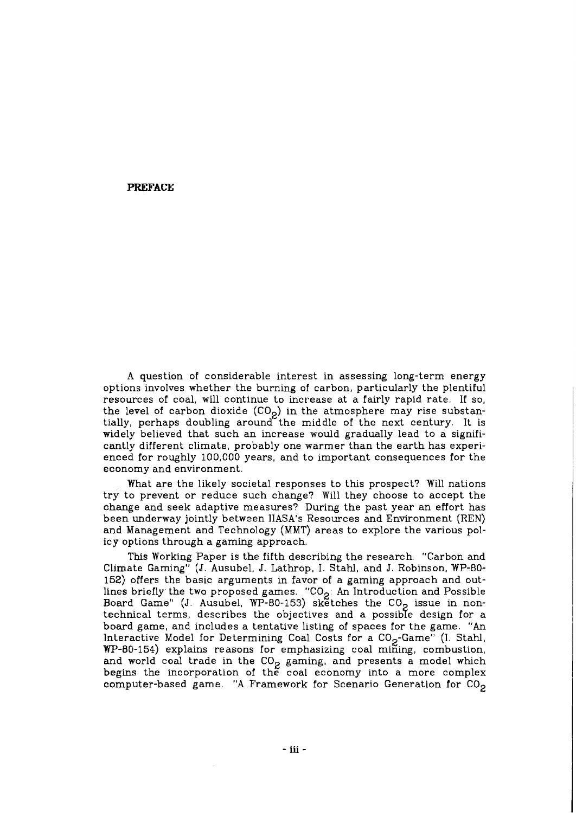## **PREFACE**

A question of considerable interest in assessing long-term energy options involves whether the burning of carbon, particularly the plentiful resources of coal, will continue to increase at a fairly rapid rate. If so, the level of carbon dioxide  $(\mathtt{CO}_2)$  in the atmosphere may rise substantially, perhaps doubling around the middle of the next century. It is widely believed that such an increase would gradually lead to a significantly different climate, probably one warmer than the earth has experienced for roughly 100,000 years, and to important consequences for the economy and environment.

What are the likely societal responses to this prospect? Will nations try to prevent or reduce such change? Will they choose to accept the change and seek adaptive measures? During the past year an effort has been underway jointly betwaen IIASA's Resources and Environment (REN) and Management and Technology (MMT) areas to explore the various policy options through a gaming approach.

This Working Paper is the fifth describing the research. "Carbon and Climate Gaming" (J. Ausubel, J. Lathrop, I. Stahl, and J. Robinson, WP-BO-152) offers the basic arguments in favor of a gaming approach and outlines briefly the two proposed games. "CO<sub>2</sub>: An Introduction and Possible Board Game" (J. Ausubel, WP-80-153) sketches the CO<sub>2</sub> issue in nontechnical terms, describes the objectives and a possible design for a board game, and includes a tentative listing of spaces for the game. **"An**  Interactive Model for Determining Coal Costs for a CO<sub>2</sub>-Game" (I. Stahl, WP-80-154) explains reasons for emphasizing coal mining, combustion, and world coal trade in the  $CO<sub>2</sub>$  gaming, and presents a model which begins the incorporation of the coal economy into a more complex computer-based game. "A Framework for Scenario Generation for CO<sub>2</sub>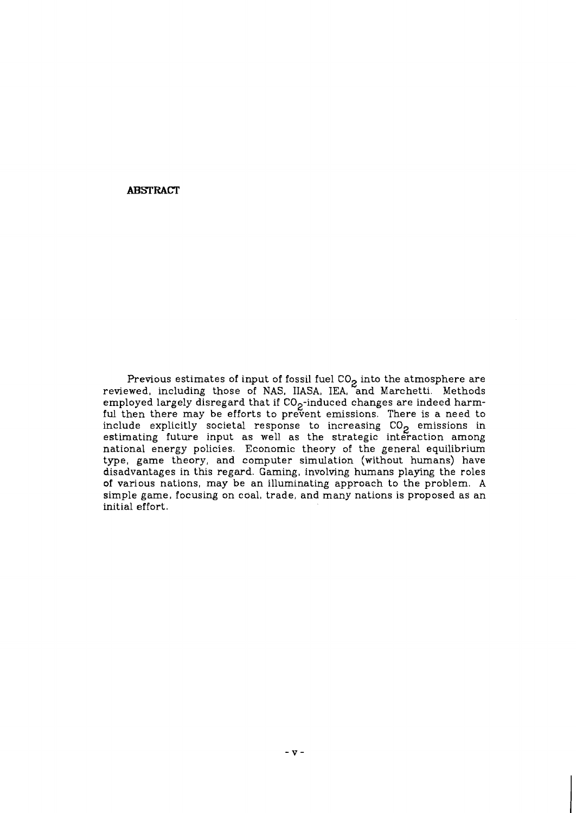## **ABSTRACT**

Previous estimates of input of fossil fuel CO<sub>2</sub> into the atmosphere are reviewed, including those of **NAS, IIASA, IEA,** and Marchetti. Methods employed largely disregard that if  $CO<sub>2</sub>$ -induced changes are indeed harmful then there may be efforts to prevent emissions. There is a need to include explicitly societal response to increasing  $CO_{2}$  emissions in estimating future input as well as the strategic interaction among national energy policies. Economic theory of the general equilibrium type, game theory, and computer simulation (without humans) have disadvantages in this regard. Gaming, involving humans playing the roles of various nations, may be an illuminating approach to the problem. **A**  simple game, focusing on coal, trade, and many nations is proposed as an initial effort.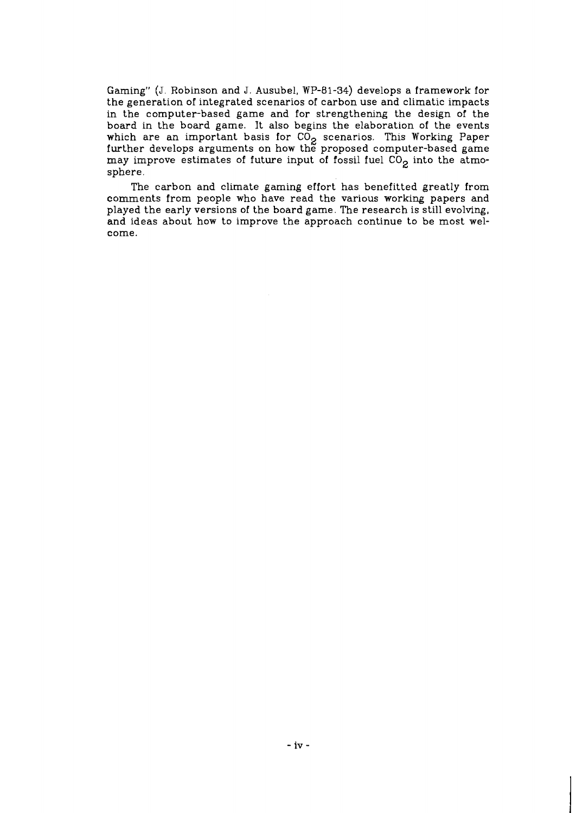Gaming" (J. Robinson and J. Ausubel, WP-81-34) develops a framework for the generation of integrated scenarios of carbon use and climatic impacts in the computer-based game and for strengthening the design of the board in the board game. It also begins the elaboration of the events which are an important basis for CO<sub>2</sub> scenarios. This Working Paper further develops arguments on how the proposed computer-based game may improve estimates of future input of fossil fuel CO<sub>2</sub> into the atmosphere.

The carbon and climate gaming effort has benefitted greatly from comments from people who have read the various working papers and played the early versions of the board game. The research is still evolving, and ideas about how to improve the approach continue to be most welcome.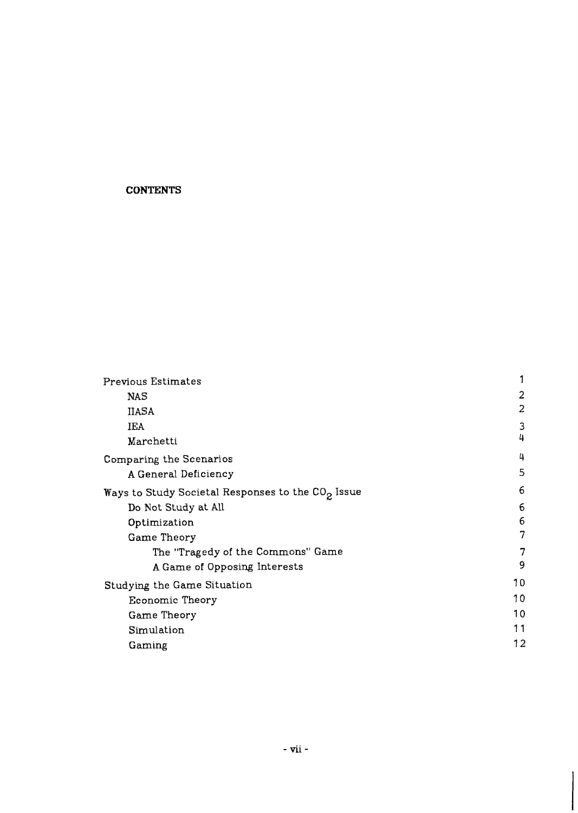# **CONTENTS**

| Previous Estimates                                            |    |
|---------------------------------------------------------------|----|
| <b>NAS</b>                                                    | 2  |
| IIASA                                                         | 2  |
| <b>IEA</b>                                                    | 3  |
| Marchetti                                                     | 4  |
| Comparing the Scenarios                                       | 4  |
| A General Deficiency                                          | 5  |
| Ways to Study Societal Responses to the $\texttt{CO}_2$ Issue | 6  |
| Do Not Study at All                                           | 6  |
| Optimization                                                  | 6  |
| Game Theory                                                   | 7  |
| The "Tragedy of the Commons" Game                             | 7  |
| A Game of Opposing Interests                                  | 9  |
| Studying the Game Situation                                   | 10 |
| Economic Theory                                               | 10 |
| Game Theory                                                   | 10 |
| Simulation                                                    | 11 |
| Gaming                                                        | 12 |
|                                                               |    |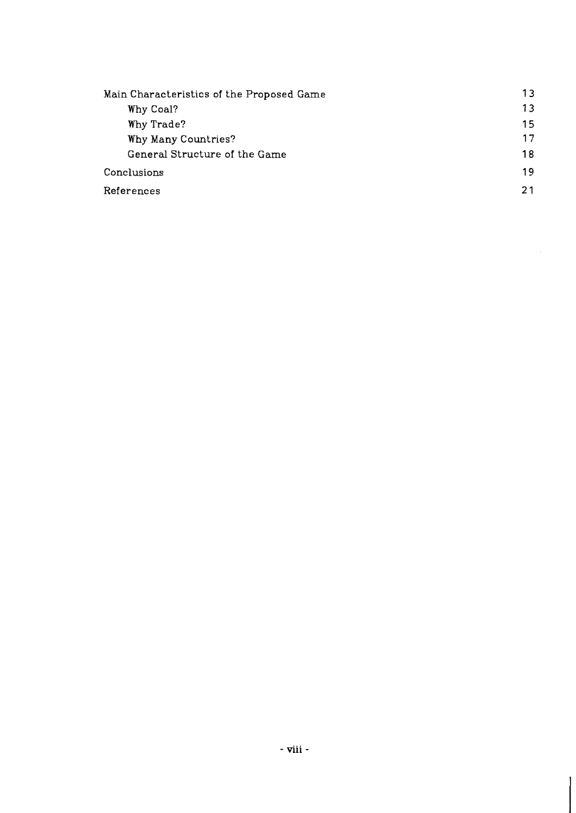| Main Characteristics of the Proposed Game | 13 |
|-------------------------------------------|----|
| Why Coal?                                 | 13 |
| Why Trade?                                | 15 |
| Why Many Countries?                       | 17 |
| General Structure of the Game             | 18 |
| Conclusions                               | 19 |
| References                                | 21 |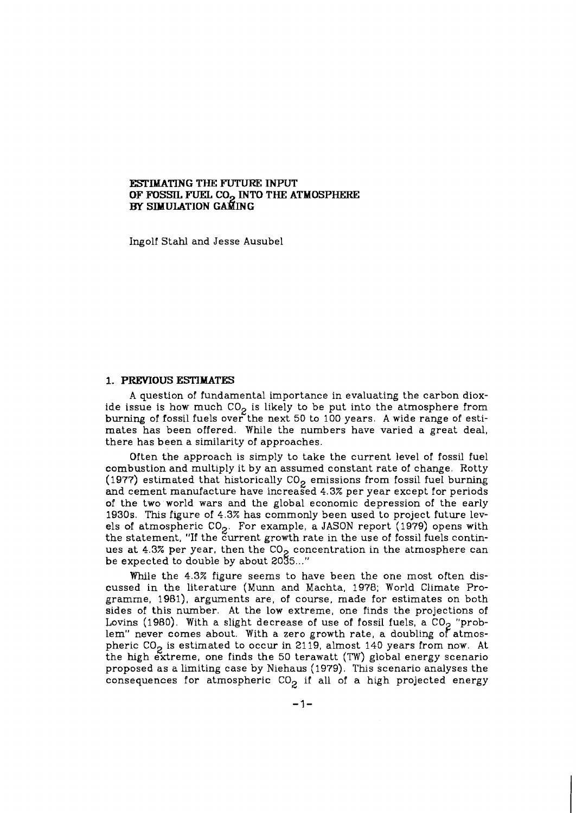# **ESTIMATING THE FUTURE INPUT**  OF FOSSIL FUEL CO<sub>2</sub> INTO THE ATMOSPHERE **BY SIMULATION GAMING**

Ingolf Stahl and Jesse Ausubel

#### **1. PREVIOUS ESTIMATES**

A question of fundamental importance in evaluating the carbon dioxide issue is how much  $CO<sub>2</sub>$  is likely to be put into the atmosphere from burning of fossil fuels over the next 50 to 100 years. **A** wide range of estimates has been offered. Whle the numbers have varied a great deal, there has been a similarity of approaches.

Often the approach is simply to take the current level of fossil fuel combustion and multiply it by an assumed constant rate of change. Rotty (1977) estimated that historically  $CO<sub>2</sub>$  emissions from fossil fuel burning and cement manufacture have increased 4.3% per year except for periods of the two world wars and the global economic depression of the early 1930s. This figure of 4.3% has commonly been used to project future levels of atmospheric  $CO<sub>2</sub>$ . For example, a JASON report (1979) opens with the statement, "If the current growth rate in the use of fossil fuels continues at 4.3% per year, then the  $CO<sub>2</sub>$  concentration in the atmosphere can be expected to double by about 2035..."

While the 4.3% figure seems to have been the one most often discussed in the literature (Munn and Machta, 1978; World Climate Programme, 1981), arguments are, of course, made for estimates on both sides of this number. At the low extreme, one finds the projections of Lovins (1980). With a slight decrease of use of fossil fuels, a  $CO<sub>2</sub>$  "problem" never comes about. With a zero growth rate, a doubling of atmospheric  $CO_{2}$  is estimated to occur in 2119, almost 140 years from now. At the high extreme, one finds the 50 terawatt (TW) global energy scenario proposed as a limiting case by Niehaus (1979). This scenario analyses the consequences for atmospheric  $CO<sub>2</sub>$  if all of a high projected energy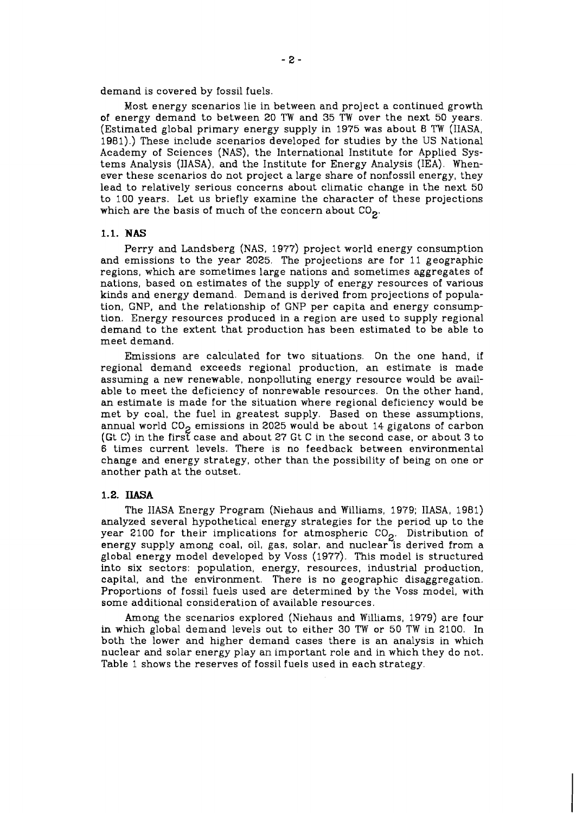demand is covered by fossil fuels.

Most energy scenarios lie in between and project a continued growth of energy demand to between 20 TW and 35 TW over the next 50 years. (Estimated global primary energy supply in 1975 was about 8 TW (IIASA, 1981).) These include scenarios developed for studies by the US National Academy of Sciences (NAS), the International Institute for Applied Systems Analysis (IIASA), and the Institute for Energy Analysis (IEA). Whenever these scenarios do not project a large share of nonfossil energy, they lead to relatively serious concerns about climatic change in the next 50 to 100 years. Let us briefly examine the character of these projections which are the basis of much of the concern about  $CO<sub>2</sub>$ .

#### **1.1. NAS**

Perry and Landsberg (NAS, 1977) project world energy consumption and emissions to the year 2025. The projections are for 11 geographic regions, whch are sometimes large nations and sometimes aggregates of nations, based on estimates of the supply of energy resources of various kinds and energy demand. Demand is derived from projections of population, GNP, and the relationship of GNP per capita and energy consumption. Energy resources produced in a region are used to supply regional demand to the extent that production has been estimated to be able to meet demand.

Emissions are calculated for two situations. On the one hand, if regional demand exceeds regional production, an estimate is made assuming a new renewable, nonpolluting energy resource would be available to meet the deficiency of nonrewable resources. On the other hand, an estimate is made for the situation where regional deficiency would be met by coal, the fuel in greatest supply. Based on these assumptions, annual world  $CO<sub>2</sub>$  emissions in 2025 would be about 14 gigatons of carbon (Gt C) in the first case and about 27 Gt C in the second case, or about **3** to 6 times current levels. There is no feedback between environmental change and energy strategy, other than the possibility of being on one or another path at the outset.

# **1.2. IlASA**

The IIASA Energy Program (Niehaus and Williams, 1979; IIASA, 1981) analyzed several hypothetical energy strategies for the period up to the year 2100 for their implications for atmospheric  $CO_{2}$ . Distribution of energy supply among coal, oil, gas, solar, and nuclear is derived from a global energy model developed by Voss (1977). This model is structured into six sectors: population, energy, resources, industrial production, capital, and the environment. There is no geographic disaggregation. Proportions of fossil fuels used are determined by the Voss model, with some additional consideration of available resources.

Among the scenarios explored (Niehaus and Williams, 1979) are four in which global demand levels out to either 30 TW or 50 TW in 2100. In both the lower and higher demand cases there is an analysis in which nuclear and solar energy play an important role and in which they do not. Table 1 shows the reserves of fossil fuels used in each strategy.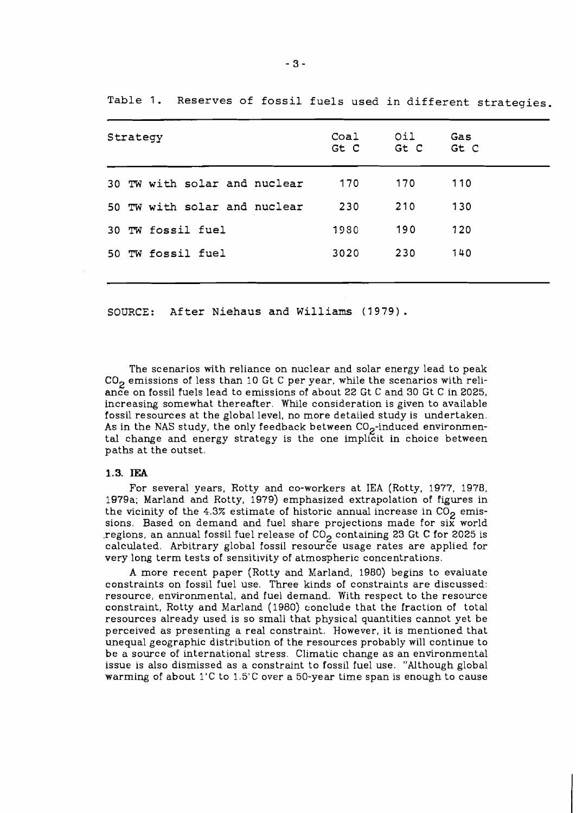| Strategy                     | Coal<br>Gt C | O11<br>Gt C | Gas<br>Gt C |
|------------------------------|--------------|-------------|-------------|
| 30 TW with solar and nuclear | 170          | 170         | 110         |
| 50 TW with solar and nuclear | 230          | 210         | 130         |
| 30 TW fossil fuel            | 1980         | 190         | 120         |
| 50 TW fossil fuel            | 3020         | 230         | 140         |

Table 1. Reserves of fossil fuels used in different strategies.

SOURCE: After Niehaus and Williams (1979).

The scenarios with reliance on nuclear and solar energy lead to peak **C02** emissions of less than 10 Gt C per year, whle the scenarios with reliance on fossil fuels lead to emissions of about 22 Gt C and 30 Gt C in 2025, increasing somewhat thereafter. Whle consideration is given to available fossil resources at the global level, no more detailed study is undertaken. As in the NAS study, the only feedback between  $CO<sub>2</sub>$ -induced environmental change and energy strategy is the one implicit in choice between paths at the outset.

# **1.3. IEA**

For several years, Rotty and co-workers at IEA (Rotty, 1977, 1978, 1979a; Marland and Rotty, 1979) emphasized extrapolation of figures in the vicinity of the 4.3% estimate of historic annual increase in  $CO<sub>2</sub>$  emissions. Based on demand and fuel share projections made for  $si\tilde{x}$  world regions, an annual fossil fuel release of  $CO<sub>2</sub>$  containing 23 Gt C for 2025 is calculated. Arbitrary global fossil resource usage rates are applied for very long term tests of sensitivity of atmospheric concentrations.

A more recent paper (Rotty and Marland, 1980) begins to evaluate constraints on fossil fuel use. Three kinds of constraints are discussed: resource, environmental, and fuel demand. With respect to the resource constraint, Rotty and Marland (1980) conclude that the fraction of total resources already used is so small that physical quantities cannot yet be perceived as presenting a real constraint. However, it is mentioned that unequal geographic distribution of the resources probably will continue to be a source of international stress. Climatic change as an environmental issue is also dismissed as a constraint to fossil fuel use. "Although global warming of about 1'C to 1.5'C over a 50-year time span is enough to cause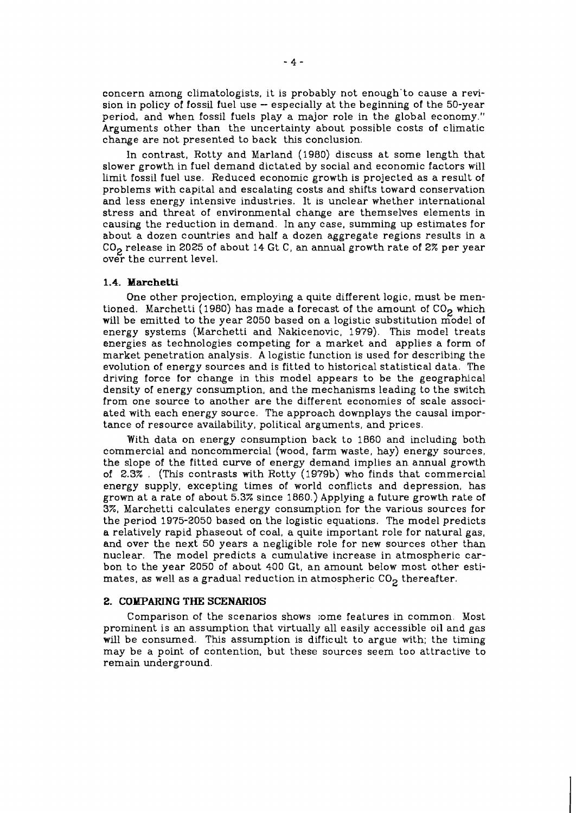concern among climatologists, it is probably not enough'to cause a revision in policy of fossil fuel use -- especially at the beginning of the 50-year period, and when fossil fuels play a major role in the global economy." Arguments other than the uncertainty about possible costs of climatic change are not presented to back this conclusion.

In contrast, Rotty and Marland (1980) discuss at some length that slower growth in fuel demand dictated by social and economic factors will limit fossil fuel use. Reduced economic growth is projected as a result of problems with capital and escalating costs and shifts toward conservation and less energy intensive industries. It is unclear whether international stress and threat of environmental change are themselves elements in causing the reduction in demand. In any case, summing up estimates for about a dozen countries and half a dozen aggregate regions results in a CO<sub>2</sub> release in 2025 of about 14 Gt C, an annual growth rate of 2% per year over the current level.

# **1.4. Marchetti**

One other projection, employing a quite different logic, must be mentioned. Marchetti (1980) has made a forecast of the amount of  $CO_2$  which will be emitted to the year 2050 based on a logistic substitution model of energy systems (Marchetti and Nakicenovic, 1979). This model treats energies as technologies competing for a market and applies a form of market penetration analysis. **A** logistic function is used for describing the evolution of energy sources and is fitted to historical statistical data. The driving force for change in this model appears to be the geographical density of energy consumption, and the mechanisms leading to the switch from one source to another are the different economies of scale associated with each energy source. The approach downplays the causal importance of resource availability, political arguments, and prices.

With data on energy consumption back to 1660 and including both commercial and noncommercial (wood, farm waste, hay) energy sources, the slope of the fitted curve of energy demand implies an annual growth of 2.3% . (This contrasts with Rotty (1979b) who finds that commercial energy supply, excepting times of world conflicts and depression, has grown at a rate of about 5.3% since 1860.) Applying a future growth rate of **3%,** Marchetti calculates energy consumption for the various sources for the period 1975-2050 based on the logistic equations. The model predicts a relatively rapid phaseout of coal, a quite important role for natural gas, and over the next 50 years a negligible role for new sources other than nuclear. The model predicts a cumulative increase in atmospheric carbon to the year 2050 of about 400 Gt, an amount below most other estimates, as well as a gradual reduction in atmospheric  $CO_{2}$  thereafter.

# **2. COWARING THE SCENARIOS**

Comparison of the scenarios shows ;ome features in common. Most prominent is an assumption that virtually all easily accessible oil and gas will be consumed. This assumption is difficult to argue with; the timing may be a point of contention, but these sources seem too attractive to remain underground.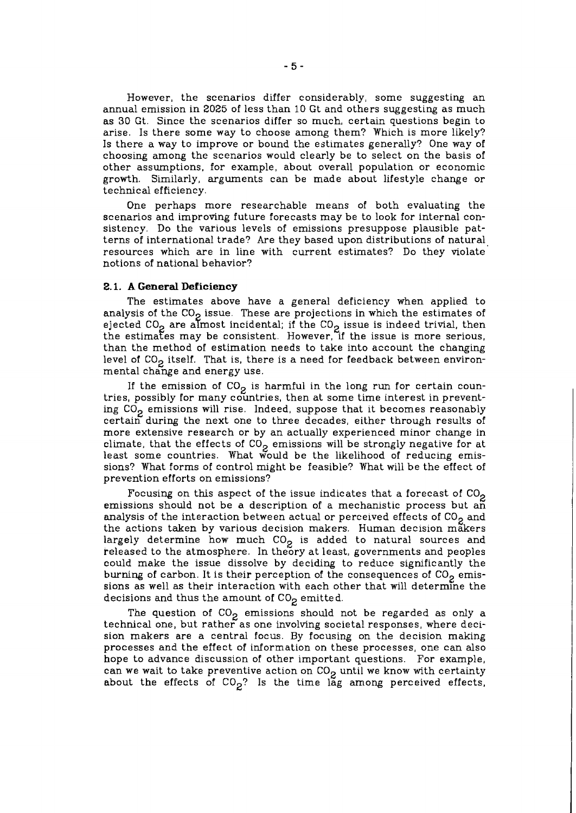However, the scenarios differ considerably, some suggesting an annual emission in 2025 of less than 10 Gt and others suggesting as much as 30 Gt. Since the scenarios differ so much, certain questions begin to arise. Is there some way to choose among them? Which is more likely? Is there a way to improve or bound the estimates generally? One way of choosing among the scenarios would clearly be to select on the basis of other assumptions, for example, about overall population or economic growth. Similarly, arguments can be made about lifestyle change or technical efficiency.

One perhaps more researchable means of both evaluating the scenarios and improving future forecasts may be to look for internal consistency. Do the various levels of emissions presuppose plausible patterns of international trade? Are they based upon distributions of natural resources which are in line with current estimates? Do they violate notions of national behavior?

#### **2.1. A General Deficiency**

The estimates above have a general deficiency when applied to analysis of the  $CO<sub>2</sub>$  issue. These are projections in which the estimates of ejected CO<sub>2</sub> are almost incidental; if the CO<sub>2</sub> issue is indeed trivial, then the estimates may be consistent. However, if the issue is more serious, than the method of estimation needs to take into account the changing level of  $CO<sub>2</sub>$  itself. That is, there is a need for feedback between environmental change and energy use.

If the emission of  $CO<sub>2</sub>$  is harmful in the long run for certain countries, possibly for many countries, then at some time interest in preventing C02 emissions will rise. Indeed, suppose that it becomes reasonably certain during the next one to three decades, either through results of more extensive research or by an actually experienced minor change in climate, that the effects of  $CO<sub>2</sub>$  emissions will be strongly negative for at least some countries. What would be the likelihood of reducing emissions? What forms of control might be feasible? What will be the effect of prevention efforts on emissions?

Focusing on this aspect of the issue indicates that a forecast of  $CO_2$ emissions should not be a description of a mechanistic process but an analysis of the interaction between actual or perceived effects of  $CO<sub>2</sub>$  and the actions taken by various decision makers. Human decision makers largely determine how much  $CO<sub>2</sub>$  is added to natural sources and released to the atmosphere. In theory at least, governments and peoples could make the issue dissolve by deciding to reduce significantly the burning of carbon. It is their perception of the consequences of  $CO<sub>2</sub>$  emissions as well as their interaction with each other that will determine the decisions and thus the amount of  $CO_{2}$  emitted.

The question of CO<sub>2</sub> emissions should not be regarded as only a technical one, but rather as one involving societal responses, where decision makers are a central focus. By focusing on the decision making processes and the effect of information on these processes, one can also hope to advance discussion of other important questions. For example, can we wait to take preventive action on  $CO_{2}$  until we know with certainty about the effects of  $CO_2$ ? Is the time lag among perceived effects,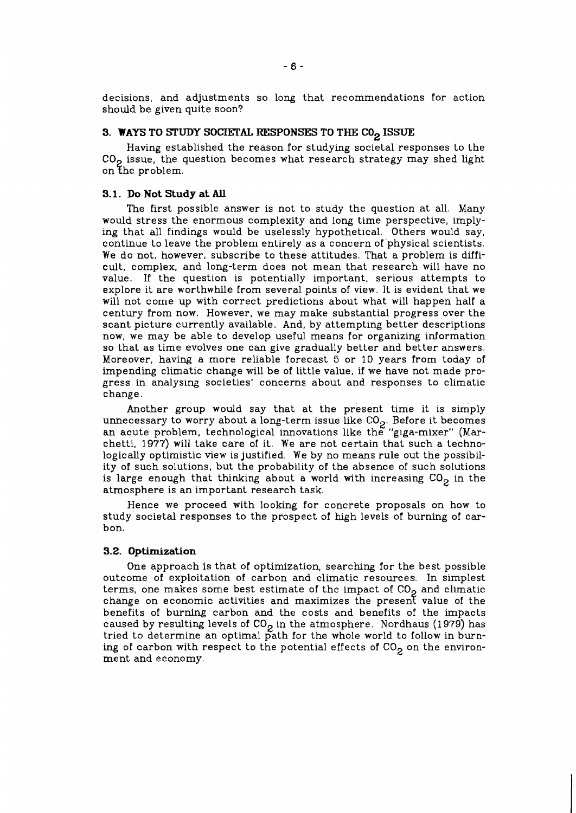decisions, and adjustments so long that recommendations for action should be given quite soon?

# **3. WAYS TO STUDY SOCIETAL RESPONSES TO THE CO<sub>2</sub> ISSUE**

Having established the reason for studying societal responses to the  $CO<sub>2</sub>$  issue, the question becomes what research strategy may shed light on **?** he problem.

#### **3.1. Do Not Study at All**

The first possible answer is not to study the question at all. Many would stress the enormous complexity and long time perspective, implying that all findings would be uselessly hypothetical. Others would say, continue to leave the problem entirely as a concern of'physical scientists. We do not, however, subscribe to these attitudes. That a problem is difficult, complex, and long-term does not mean that research will have no value. If the question is potentially important, serious attempts to explore it are worthwhile from several points of view. It is evident that we will not come up with correct predictions about what will happen half a century from now. However, we may make substantial progress over the scant picture currently available. And, by attempting better descriptions now, we may be able to develop useful means for organizing information so that as time evolves one can give gradually better and better answers. Moreover, having a more reliable forecast 5 or 10 years from today of impending climatic change will be of little value, if we have not made progress in analysing societies' concerns about and responses to climatic change.

Another group would say that at the present time it is simply unnecessary to worry about a long-term issue like  $CO<sub>2</sub>$ . Before it becomes an acute problem, technological innovations like the "giga-mixer" (Marchetti, 1977) will take care of it. We are not certain that such a technologically optimistic view is justified. We by no means rule out the possibility of such solutions, but the probability of the absence of such solutions is large enough that thinking about a world with increasing  $CO<sub>2</sub>$  in the atmosphere is an important research task.

Hence we proceed with looking for concrete proposals on how to study societal responses to the prospect of hgh levels of burning of carb on.

## **3.2. Optimization**

One approach is that of optimization, searching for the best possible outcome of exploitation of carbon and climatic resources. In simplest terms, one makes some best estimate of the impact of  $CO_{2}$  and climatic change on economic activities and maximizes the present value of the benefits of burning carbon and the costs and benefits of the impacts caused by resulting levels of  $CO<sub>2</sub>$  in the atmosphere. Nordhaus (1979) has tried to determine an optimal path for the whole world to follow in burning of carbon with respect to the potential effects of  $CO_{2}$  on the environment and economy.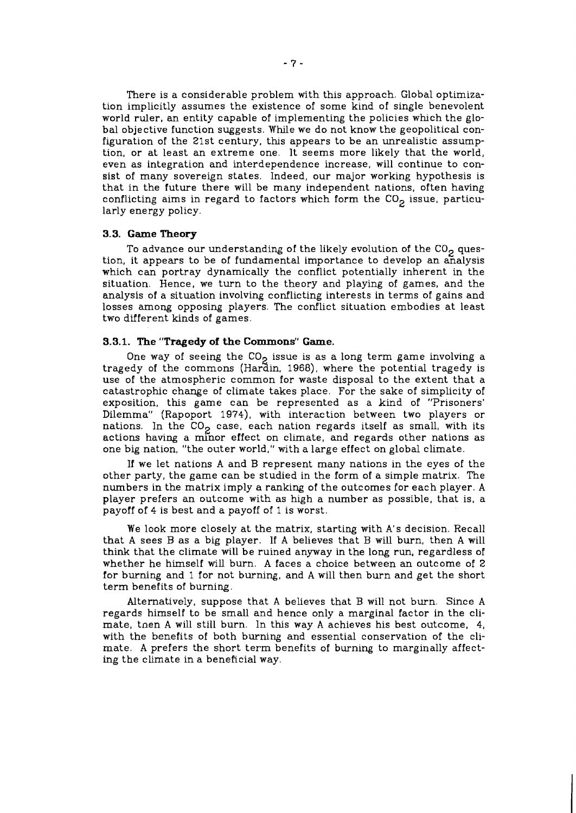There is a considerable problem with this approach. Global optimization implicitly assumes the existence of some kind of single benevolent world ruler, an entity capable of implementing the policies whch the global objective function suggests. While we do not know the geopolitical configuration of the 21st century, ths appears to be an unrealistic assumption, or at least an extreme one. It seems more likely that the world, even as integration and interdependence increase, will continue to consist of many sovereign states. Indeed, our major working hypothesis is that in the future there will be many independent nations, often having conflicting aims in regard to factors which form the  $CO<sub>2</sub>$  issue, particularly energy policy.

# **3.3. Game Theory**

To advance our understanding of the likely evolution of the  $CO_{2}$  question, it appears to be of fundamental importance to develop an analysis which can portray dynamically the conflict potentially inherent in the situation. Hence, we turn to the theory and playing of games, and the analysis of a situation involving conflicting interests in terms of gains and losses among opposing players. The conflict situation embodies at least two different kinds of games.

## **3.3.1. The "Tragedy of the Commons" Game.**

One way of seeing the  $CO_{\odot}$  issue is as a long term game involving a tragedy of the commons (Har *5* in, 1968), where the potential tragedy is use of the atmospheric common for waste disposal to the extent that a catastrophic change of climate takes place. For the sake of simplicity of exposition, this game can be represented as a kind of "Prisoners' Dilemma" (Rapoport **1974),** with interaction between two players or nations. In the  $CO<sub>2</sub>$  case, each nation regards itself as small, with its actions having a minor effect on climate, and regards other nations as one big nation, "the outer world," with a large effect on global climate.

If we let nations A and B represent many nations in the eyes of the other party, the game can be studied in the form of a simple matrix. The numbers in the matrix imply a ranking of the outcomes for each player. A player prefers an outcome with as high a number as possible, that is, a payoff of 4 is best and a payoff of 1 is worst.

We look more closely at the matrix, starting with A's decision. Recall that A sees B as a big player. If A believes that B will burn, then **A** will think that the climate will be ruined anyway in the long run, regardless of whether he himself will burn. **A** faces a choice between an outcome of 2 for burning and 1 for not burning, and A will then burn and get the short term benefits of burning.

Alternatively, suppose that **A** believes that B will not burn. Since A regards himself to be small and hence only a marginal factor in the climate, then A will still burn. In this way A achieves his best outcome, 4, with the benefits of both burning and essential conservation of the climate. A prefers the short term benefits of burning to marginally affecting the climate in a beneficial way.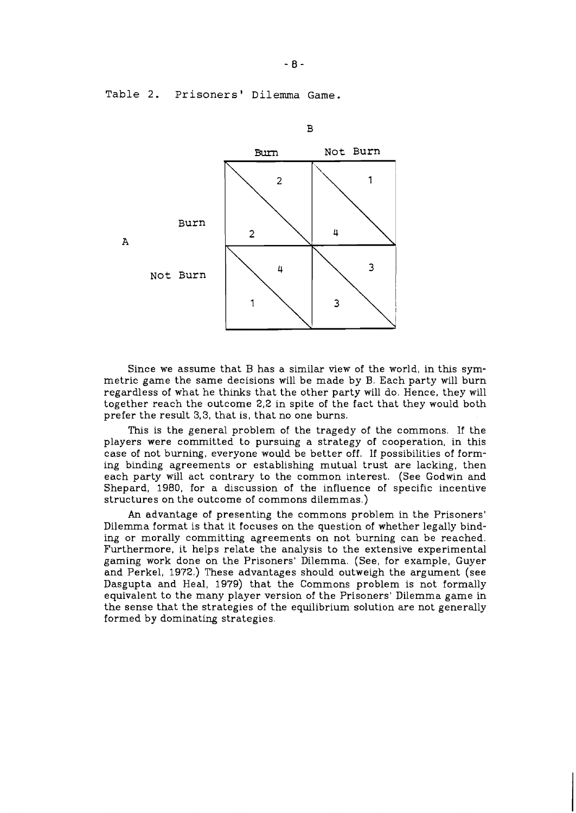Table 2. Prisoners' Dilemma Game.



Since we assume that B has a similar view of the world, in ths symmetric game the same decisions will be made by B. Each party will burn regardless of what he thinks that the other party will do. Hence, they will together reach the outcome 2,2 in spite of the fact that they would both prefer the result **3,3,** that is, that no one burns.

This is the general problem of the tragedy of the commons. If the players were committed to pursuing a strategy of cooperation, in this case of not burning, everyone would be better off. If possibilities of forming binding agreements or establishing mutual trust are lacking, then each party will act contrary to the common interest. (See Godwin and Shepard, 1980, for a discussion of the influence of specific incentive structures on the outcome of commons dilemmas.)

An advantage of presenting the commons problem in the Prisoners' Dilemma format is that it focuses on the question of whether legally binding or morally committing agreements on not burning can be reached. Furthermore, it helps relate the analysis to the extensive experimental gaming work done on the Prisoners' Dilemma. (See, for example, Guyer and Perkel, 1972.) These advantages should outwegh the argument (see Dasgupta and Heal, 1979) that the Commons problem is not formally equivalent to the many player version of the Prisoners' Dilemma game in the sense that the strategies of the equilibrium solution are not generally formed by dominating strategies.

 $-8-$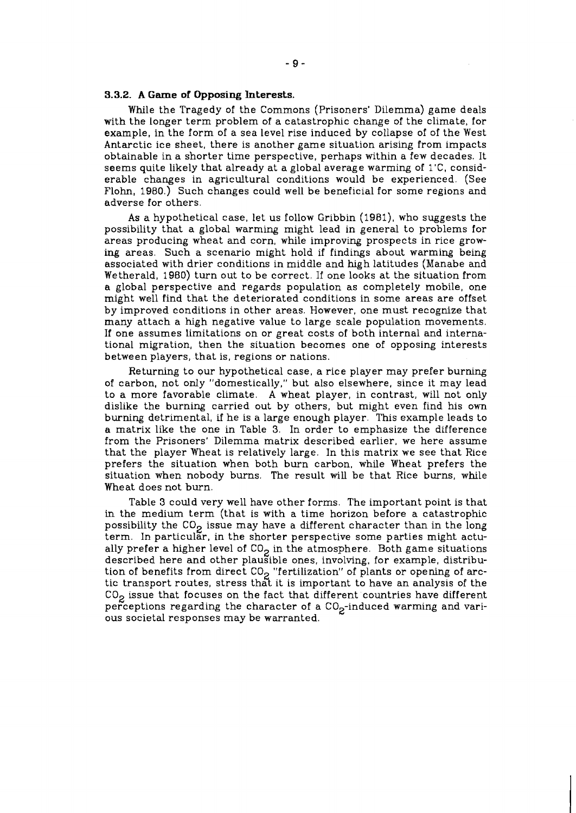#### **3.3.2. A Game of Opposing Interests.**

While the Tragedy of the Commons (Prisoners' Dilemma) game deals with the longer term problem of a catastrophic change of the climate, for example, in the form of a sea level rise induced by collapse of of the West Antarctic ice sheet, there is another game situation arising from impacts obtainable in a shorter time perspective, perhaps within a few decades. It seems quite likely that already at a global average warming of l'C, considerable changes in agricultural conditions would be experienced. (See Flohn, 1980.) Such changes could well be beneficial for some regions and adverse for others.

As a hypothetical case, let us follow Gribbin (1981), who suggests the possibility that a global warming might lead in general to problems for areas producing wheat and corn, while improving prospects in rice growing areas. Such a scenario might hold if findings about warming being associated with drier conditions in middle and hgh latitudes (Manabe and Wetherald, 1980) turn out to be correct. If one looks at the situation from a global perspective and regards population as completely mobile, one might well find that the deteriorated conditions in some areas are offset by improved conditions in other areas. However, one must recognize that many attach a high negative value to large scale population movements. If one assumes limitations on or great costs of both internal and international migration, then the situation becomes one of opposing interests between players, that is, regions or nations.

Returning to our hypothetical case, a rice player may prefer burning of carbon, not only "domestically," but also elsewhere, since it may lead to a more favorable climate. **A** wheat player, in contrast, will not only dislike the burning carried out by others, but might even find his own burning detrimental, if he is a large enough player. This example leads to a matrix like the one in Table **3.** In order to emphasize the difference from the Prisoners' Dilemma matrix described earlier, we here assume that the player Wheat is relatively large. In this matrix we see that Rice prefers the situation when both burn carbon, while Wheat prefers the situation when nobody burns. The result will be that Rice burns, while Wheat does not burn.

Table **3** could very well have other forms. The important point is that in the medium term (that is with a time horizon before a catastrophic possibility the  $CO_{2}$  issue may have a different character than in the long term. In particular, in the shorter perspective some parties might actually prefer a higher level of  $CO<sub>2</sub>$  in the atmosphere. Both game situations described here and other plausible ones, involving, for example, distribution of benefits from direct  $CO<sub>2</sub>$  "fertilization" of plants or opening of arctic transport routes, stress that it is important to have an analysis of the  $CO<sub>2</sub>$  issue that focuses on the fact that different countries have different perceptions regarding the character of a  $CO_2$ -induced warming and various societal responses may be warranted.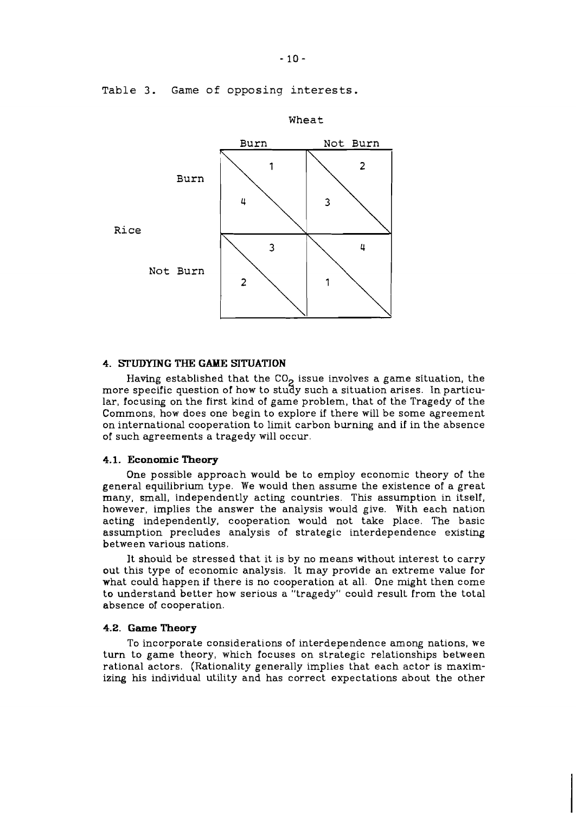Table **3.** Game of opposing interests.



Wheat

# **4. STUDYING THE GAME SITUATION**

Having established that the CO<sub>2</sub> issue involves a game situation, the more specific question of how to stu *3* y such a situation arises. In particular, focusing on the first kind of game problem, that of the Tragedy of the Commons, how does one begin to explore if there will be some agreement on international cooperation to limit carbon burning and if in the absence of such agreements a tragedy will occur.

#### **4.1. Economic Theory**

One possible approach would be to employ economic theory of the general equilibrium type. We would then assume the existence of a great many, small, independently acting countries. This assumption in itself, however, implies the answer the analysis would give. With each nation acting independently, cooperation would not take place. The basic assumption precludes analysis of strategic interdependence existing betwe en various nations.

It should be stressed that it is by no means without interest to carry out this type of economic analysis. It may provide an extreme value for what could happen if there is no cooperation at all. One might then come to understand better how serious a "tragedy" could result from the total absence of cooperation.

# **4.2. Game Theory**

To incorporate considerations of interdependence among nations, we turn to game theory, which focuses on strategic relationships between rational actors. (Rationality generally implies that each actor is maximizing his individual utility and has correct expectations about the other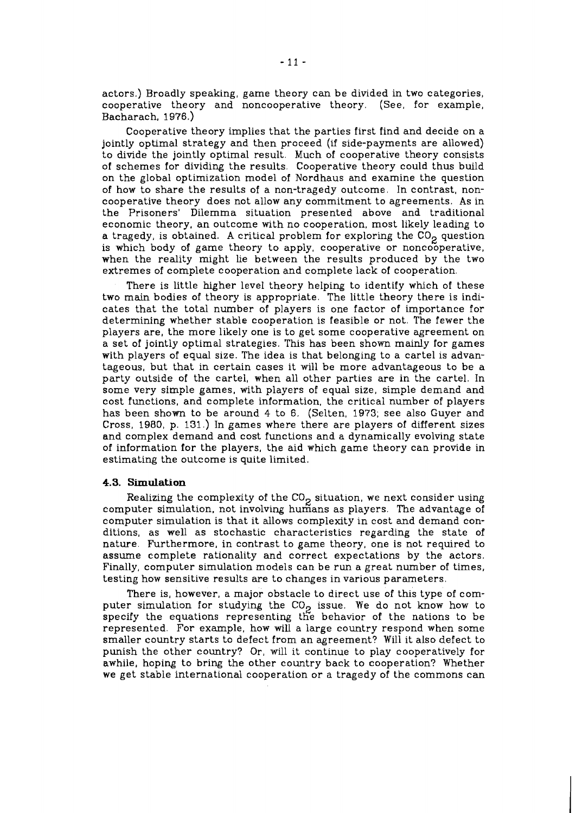actors.) Broadly speaking, game theory can be divided in two categories, cooperative theory and noncooperative theory. (See, for example, Bacharach, 1976.)

Cooperative theory implies that the parties first find and decide on a jointly optimal strategy and then proceed (if side-payments are allowed) to divide the jointly optimal result. Much of cooperative theory consists of schemes for dividing the results. Cooperative theory could thus build on the global optimization model of Nordhaus and examine the question of how to share the results of a non-tragedy outcome. In contrast, noncooperative theory does not allow any commitment to agreements. As in the Prisoners' Dilemma situation presented above and traditional economic theory, an outcome with no cooperation, most likely leading to a tragedy, is obtained. A critical problem for exploring the CO<sub>2</sub> question is which body of game theory to apply, cooperative or noncooperative, when the reality might lie between the results produced by the two extremes of complete cooperation and complete lack of cooperation.

There is little higher level theory helping to identify which of these two main bodies of theory is appropriate. The little theory there is indicates that the total number of players is one factor of importance for determining whether stable cooperation is feasible or not. The fewer the players are, the more likely one is to get some cooperative agreement on a set of jointly optimal strategies. This has been shown mainly for games with players of equal size. The idea is that belonging to a cartel is advantageous, but that in certain cases it will be more advantageous to be a party outside of the cartel, when all other parties are in the cartel. In some very simple games, with players of equal size, simple demand and cost functions, and complete information, the critical number of players has been shown to be around 4 to 6. (Selten, 1973; see also Guyer and Cross, 1980, p. 131.) In games where there are players of different sizes and complex demand and cost functions and a dynamically evolving state of information for the players, the aid which game theory can provide in estimating the outcome is quite limited.

#### **4.3. Simulation**

Realizing the complexity of the  $CO<sub>2</sub>$  situation, we next consider using computer simulation, not involving humans as players. The advantage of computer simulation is that it allows complexity in cost and demand conditions, as well as stochastic characteristics regarding the state of nature. Furthermore, in contrast to game theory, one is not required to assume complete rationality and correct expectations by the actors. Finally, computer simulation models can be run a great number of times, testing how sensitive results are to changes in various parameters.

There is, however, a major obstacle to direct use of this type of computer simulation for studying the  $CO<sub>2</sub>$  issue. We do not know how to specify the equations representing the behavior of the nations to be represented. For example, how will a large country respond when some smaller country starts to defect from an agreement? Will it also defect to punish the other country? Or, will it continue to play cooperatively for awhile, hoping to bring the other country back to cooperation? Whether we get stable international cooperation or a tragedy of the commons can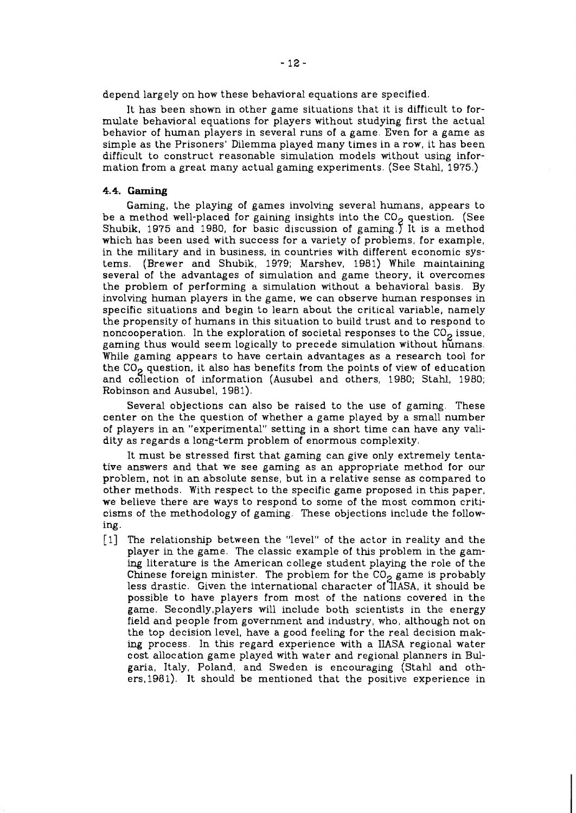depend largely on how these behavioral equations are specified.

It has been shown in other game situations that it is difficult to formulate behavioral equations for players without studying first the actual behavior of human players in several runs of a game. Even for a game as simple as the Prisoners' Dilemma played many times in a row, it has been difficult to construct reasonable simulation models without using information from a great many actual gaming experiments. (See Stahl, 1975.)

## **4.4. Gaming**

Gaming, the playing of games involving several humans, appears to be a method well-placed for gaining insights into the  $CO<sub>2</sub>$  question. (See Shubik. 1975 and 1980, for basic discussion of gaming.) It is a method which has been used with success for a variety of problems, for example, in the military and in business, in countries with different economic systems. (Brewer and Shubik, 1979; Marshev, 1981) While maintaining several of the advantages of simulation and game theory, it overcomes the problem of performing a simulation without a behavioral basis. By involving human players in the game, we can observe hunan responses in specific situations and begin to learn about the critical variable, namely the propensity of humans in this situation to build trust and to respond to noncooperation. In the exploration of societal responses to the  $CO<sub>2</sub>$  issue, gaming thus would seem logically to precede simulation without humans. While gaming appears to have certain advantages as a research tool for the  $CO<sub>2</sub>$  question, it also has benefits from the points of view of education and collection of information (Ausubel and others, 1980; Stahl, 1980; Robinson and Ausubel, 1981).

Several objections can also be raised to the use of gaming. These center on the the question of whether a game played by a small number of players in an "experimental" setting in a short time can have any validity as regards a long-term problem of enormous complexity.

It must be stressed first that gaming can give only extremely tentative answers and that we see gaming as an appropriate method for our problem, not in an absolute sense, but in a relative sense as compared to other methods. With respect to the specific game proposed in this paper, we believe there are ways to respond to some of the most common criticisms of the methodology of gaming. These objections include the following.

[I] The relationshp between the "level" of the actor in reality and the player in the game. The classic example of this problem in the gaming literature is the American college student playing the role of the Chinese foreign minister. The problem for the  $CO<sub>2</sub>$  game is probably less drastic. Given the international character of IIASA, it should be possible to have players from most of the nations covered in the game. Secondly,players will include both scientists in the energy field and people from government and industry, who, although not on the top decision level, have a good feeling for the real decision making process. In this regard experience with a IIASA regional water cost allocation game played with water and regional planners in Bulgaria, Italy, Poland, and Sweden is encouraging (Stahl and others,l981). It should be mentioned that the positive experience in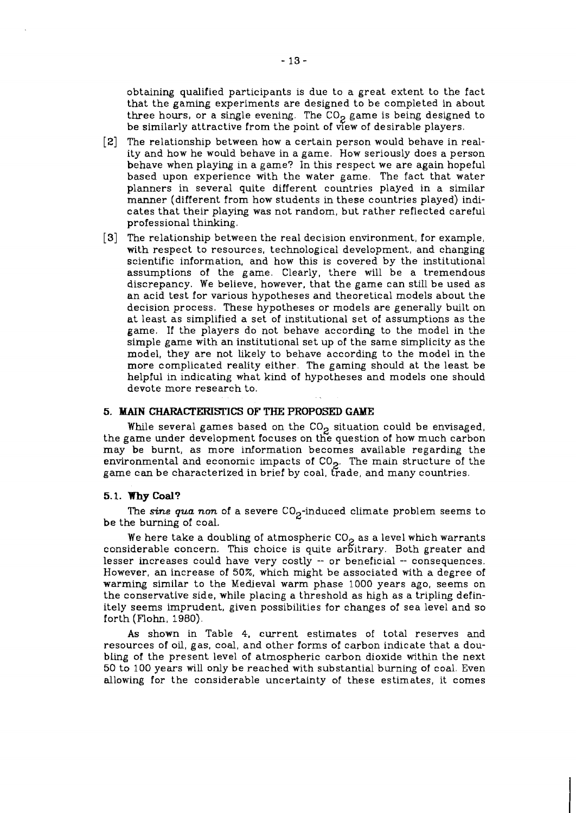obtaining qualified participants is due to a great extent to the fact that the gaming experiments are designed to be completed in about three hours, or a single evening. The  $CO<sub>2</sub>$  game is being designed to be similarly attractive from the point of view of desirable players.

- **[Z]** The relationship between how a certain person would behave in reality and how he would behave in a game. How seriously does a person behave when playing in a game? In this respect we are again hopeful based upon experience with the water game. The fact that water planners in several quite different countries played in a similar manner (different from how students in these countries played) indicates that their playing was not random, but rather reflected careful professional thinking.
- **[3]** The relationship between the real decision environment, for example, with respect to resources, technological development, and changing scientific information, and how this is covered by the institutional assumptions of the game. Clearly, there will be a tremendous discrepancy. We believe, however, that the game can still be used as an acid test for various hypotheses and theoretical models about the decision process. These hypotheses or models are generally built on at least as simplified a set of institutional set of assumptions as the game. If the players do not behave according to the model in the simple game with an institutional set up of the same simplicity as the model, they are not likely to behave according to the model in the more complicated reality either. The gaming should at the least be helpful in indicating what kind of hypotheses and models one should devote more research to.

## **5. MAIN CHARACTERISTICS OF THE PROPOSED GAME**

While several games based on the  $CO<sub>2</sub>$  situation could be envisaged, the game under development focuses on the question of how much carbon may be burnt, as more information becomes available regarding the environmental and economic impacts of  $CO_{2}$ . The main structure of the game can be characterized in brief by coal, trade, and many countries.

#### **5.1. Why Coal?**

The *sine qua non* of a severe CO<sub>2</sub>-induced climate problem seems to be the burning of coal.

We here take a doubling of atmospheric  $CO<sub>2</sub>$  as a level which warrants considerable concern. This choice is quite arbitrary. Both greater and lesser increases could have very costly -- or beneficial -- consequences. However, an increase of **50%,** which might be associated with a degree of warming similar to the Medieval warm phase 1000 years ago, seems on the conservative side, while placing a threshold as high as a tripling definitely seems imprudent, given possibilities for changes of sea level and so forth (Flohn, **1980).** 

As shown in Table 4, current estimates of total reserves and resources of oil, gas, coal, and other forms of carbon indicate that a doubling of the present level of atmospheric carbon dioxide withn the next 50 to 100 years **will** only be reached with substantial burning of coal. Even allowing for the considerable uncertainty of these estimates, it comes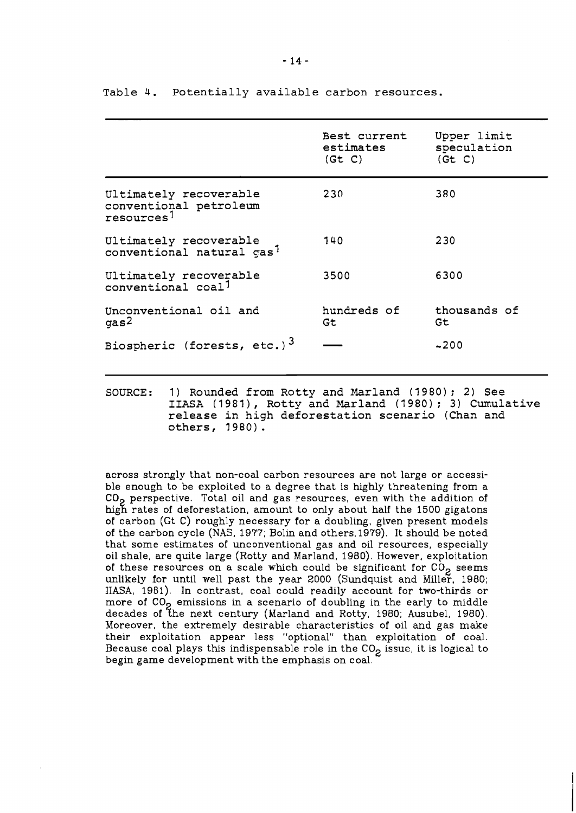|                                                                            | Best current<br>estimates<br>(Gt C) | Upper limit<br>speculation<br>(Gt C) |
|----------------------------------------------------------------------------|-------------------------------------|--------------------------------------|
| Ultimately recoverable<br>conventional petroleum<br>resources <sup>1</sup> | 230                                 | 380                                  |
| Ultimately recoverable<br>conventional natural gas <sup>1</sup>            | 140                                 | 230                                  |
| Ultimately recoverable<br>conventional coal <sup>1</sup>                   | 3500                                | 6300                                 |
| Unconventional oil and<br>qas <sup>2</sup>                                 | hundreds of<br>Gt.                  | thousands of<br>Gt.                  |
| Biospheric (forests, etc.) <sup>3</sup>                                    |                                     | $-200$                               |

Table 4. Potentially available carbon resources.

SOURCE: 1) Rounded from Rotty and Marland (1980); 2) See IIASA (1981), Rotty and Marland (1980) ; 3) Cumulative release in high deforestation scenario (Chan and others, 1980) .

across strongly that non-coal carbon resources are not large or accessible enough to be exploited to a degree that is highly threatening from a  $CO<sub>2</sub>$  perspective. Total oil and gas resources, even with the addition of high rates of deforestation, amount to only about half the 1500 gigatons of carbon (Gt C) roughly necessary for a doubling, given present models of the carbon cycle (NAS, 1977; Bolin and others, 1979). It should be noted that some estimates of unconventional gas and oil resources, especially oil shale, are quite large (Rotty and Marland, 1980). However, exploitation of these resources on a scale which could be significant for  $CO_{2}$  seems unlikely for until well past the year 2000 (Sundquist and Miller, 1980; IIASA, 1981). In contrast, coal could readily account for two-thirds or more of  $CO<sub>2</sub>$  emissions in a scenario of doubling in the early to middle decades of the next century (Marland and Rotty, 1980; Ausubel, 1980). Moreover, the extremely desirable characteristics of oil and gas make their exploitation appear less "optional" than exploitation of coal. Because coal plays this indispensable role in the  $CO<sub>2</sub>$  issue, it is logical to begin game development with the emphasis on coal.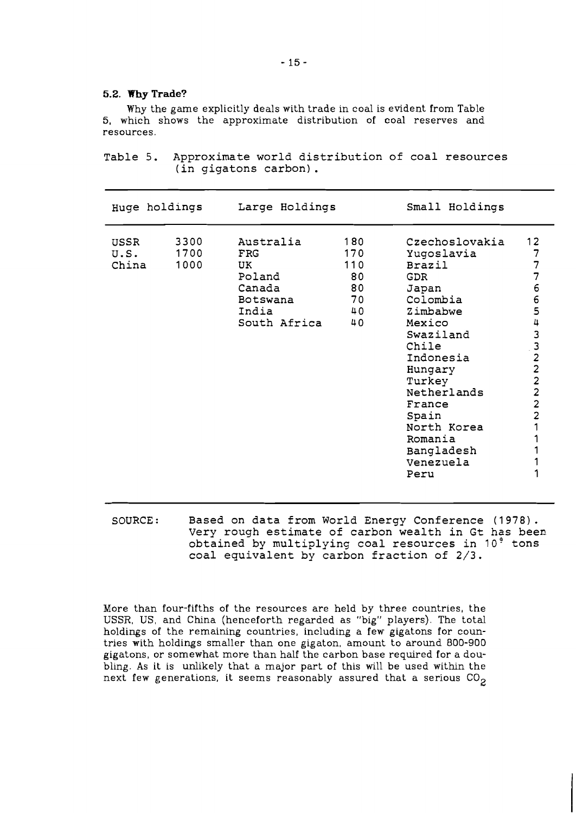#### **5.2. Why Trade?**

Why the game explicitly deals with trade in coal is evident from Table 5, which shows the approximate distribution of coal reserves and resources.

| Huge holdings         |                      | Large Holdings                                                                          |                                                 | Small Holdings                                                                                                                                                                                                                                         |                                               |
|-----------------------|----------------------|-----------------------------------------------------------------------------------------|-------------------------------------------------|--------------------------------------------------------------------------------------------------------------------------------------------------------------------------------------------------------------------------------------------------------|-----------------------------------------------|
| USSR<br>U.S.<br>China | 3300<br>1700<br>1000 | Australia<br><b>FRG</b><br>UK.<br>Poland<br>Canada<br>Botswana<br>India<br>South Africa | 180<br>170<br>110<br>80<br>80<br>70<br>40<br>40 | Czechoslovakia<br>Yugoslavia<br>Brazil<br><b>GDR</b><br>Japan<br>Colombia<br>Zimbabwe<br>Mexico<br>Swaziland<br>Chile<br>Indonesia<br>Hungary<br>Turkey<br>Netherlands<br>France<br>Spain<br>North Korea<br>Romania<br>Bangladesh<br>Venezuela<br>Peru | 12<br>7<br>7<br>7<br>6<br>6<br>5<br>433222222 |

Table 5. Approximate world distribution of coal resources (in gigatons carbon) .

SOURCE: Based on data from World Energy Conference (1978). Very rough estimate of carbon wealth in Gt has been obtained by multiplying coal resources in  $10<sup>9</sup>$  tons coal equivalent by carbon fraction of 2/3.

More than four-fifths of the resources are held by three countries, the USSR, US, and China (henceforth regarded as "big" players). The total holdings of the remaining countries, including a few gigatons for countries with holdings smaller than one gigaton, amount to around 800-900 gigatons, or somewhat more than half the carbon base required for a doubling. **As** it is unlikely that a major part of this will be used within the next few generations, it seems reasonably assured that a serious  $CO<sub>2</sub>$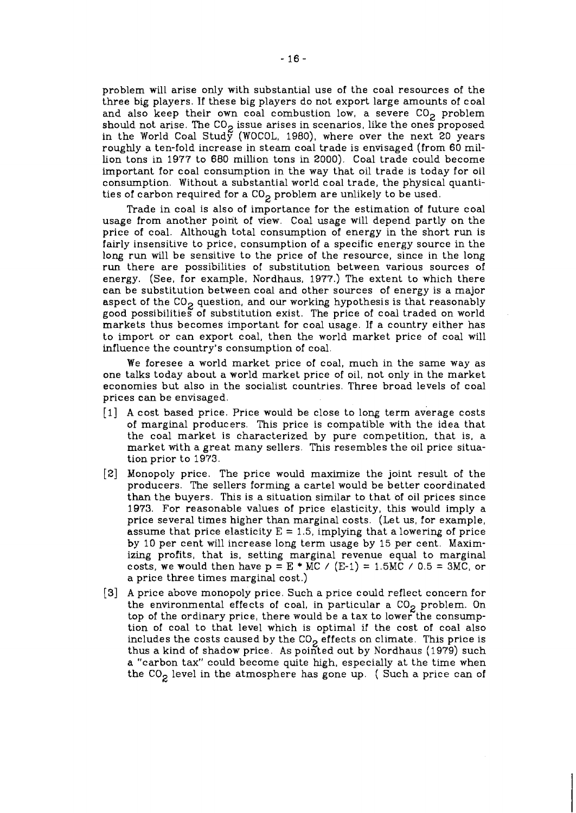problem will arise only with substantial use of the coal resources of the three big players. If these big players do not export large amounts of coal and also keep their own coal combustion low, a severe  $CO_{2}$  problem should not arise. The CO<sub>2</sub> issue arises in scenarios, like the ones proposed in the World Coal Stud $\breve{y}$  (WOCOL, 1980), where over the next 20 years roughly a ten-fold increase in steam coal trade is envisaged (from 60 million tons in 1977 to 680 million tons in 2000). Coal trade could become important for coal consumption in the way that oil trade is today for oil consumption. Without a substantial world coal trade, the physical quantities of carbon required for a  $CO_{2}$  problem are unlikely to be used.

Trade in coal is also of importance for the estimation of future coal usage from another point of view. Coal usage will depend partly on the price of coal. Although total consumption of energy in the short run is fairly insensitive to price, consumption of a specific energy source in the long run will be sensitive to the price of the resource, since in the long run there are possibilities of substitution between various sources of energy. (See, for example, Nordhaus, 1977.) The extent to which there can be substitution between coal and other sources of energy is a major aspect of the  $CO_{2}$  question, and our working hypothesis is that reasonably good possibilities of substitution exist. The price of coal traded on world markets thus becomes important for coal usage. If a country either has to import or can export coal, then the world market price of coal will influence the country's consumption of coal.

We foresee a world market price of coal, much in the same way as one talks today about a world market price of oil, not only in the market economies but also in the socialist countries. Three broad levels of coal prices can be envisaged.

- [I] A cost based price. Price would be close to long term average costs of marginal producers. This price is compatible with the idea that the coal market is characterized by pure competition, that is, a market with a great many sellers. This resembles the oil price situation prior to 1973.
- [2] Monopoly price. The price would maximize the joint result of the producers. The sellers forming a cartel would be better coordinated than the buyers. This is a situation similar to that of oil prices since 1973. For reasonable values of price elasticity, this would imply a price several times higher than marginal costs. (Let us, for example, assume that price elasticity  $E = 1.5$ , implying that a lowering of price by 10 per cent will increase long term usage by 15 per cent. Maximizing profits, that is, setting marginal revenue equal to marginal costs, we would then have  $p = E * MC / (E-1) = 1.5MC / 0.5 = 3MC$ , or a price three times marginal cost.)
- [3] **A** price above monopoly price. Such a price could reflect concern for the environmental effects of coal, in particular a  $CO_2$  problem. On top of the ordinary price, there would be a tax to lower the consumption of coal to that level which is optimal if the cost of coal also includes the costs caused by the  $CO_2$  effects on climate. This price is thus a kind of shadow price. **As** pointed out by Nordhaus (1979) such a "carbon tax" could become quite high, especially at the time when the  $CO_{2}$  level in the atmosphere has gone up. ( Such a price can of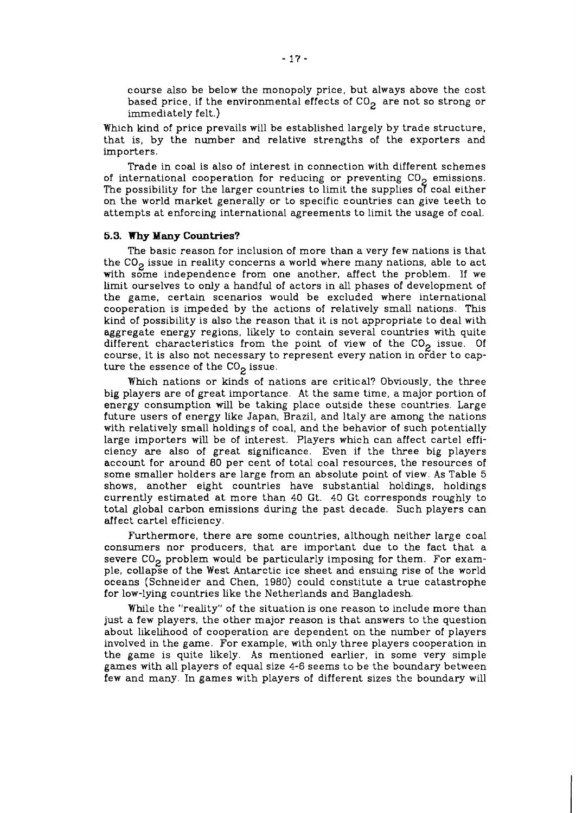course also be below the monopoly price, but always above the cost based price, if the environmental effects of  $CO<sub>2</sub>$  are not so strong or immediately felt.)

Which kind of price prevails will be established largely by trade structure, that is, by the number and relative strengths of the exporters and importers.

Trade in coal is also of interest in connection with different schemes of international cooperation for reducing or preventing  $\mathrm{CO}_2$  emissions. The possibility for the larger countries to limit the supplies o? coal either on the world market generally or to specific countries can give teeth to attempts at enforcing international agreements to limit the usage of coal.

#### **5.3. Why Many Countries?**

The basic reason for inclusion of more than a very few nations is that the CO<sub>2</sub> issue in reality concerns a world where many nations, able to act with some independence from one another, affect the problem. If we limit ourselves to only a handful of actors in all phases of development of the game, certain scenarios would be excluded where international cooperation is impeded by the actions of relatively small nations. This kind of possibility is also the-reason that it is not appropriate to deal with aggregate energy regions, likely to contain several countries with quite different characteristics from the point of view of the  $CO<sub>2</sub>$  issue. Of course, it is also not necessary to represent every nation in order to capture the essence of the  $CO_{2}$  issue.

Which nations or kinds of nations are critical? Obviously, the three big players are of great importance. At the same time, a major portion of energy consumption will be taking place outside these countries. Large future users of energy like Japan, Brazil, and ltaly are among the nations with relatively small holdings of coal, and the behavior of such potentially large importers will be of interest. Players which can affect cartel efficiency are also of great significance. Even if the three big players account for around 80 per cent of total coal resources, the resources of some smaller holders are large from an absolute point of view. As Table *5*  shows, another eight countries have substantial holdings, holdings currently estimated at more than 40 Gt. 40 Gt corresponds roughly to total global carbon emissions during the past decade. Such players can affect cartel efficiency.

Furthermore, there are some countries, although neither large coal consumers nor producers, that are important due to the fact that a severe  $CO<sub>2</sub>$  problem would be particularly imposing for them. For example, collapse of the West Antarctic ice sheet and ensuing rise of the world oceans (Schneider and Chen, 1980) could constitute a true catastrophe for low-lying countries like the Netherlands and Bangladesh.

While the "reality" of the situation is one reason to include more than just a few players, the other major reason is that answers to the question about likelihood of cooperation are dependent on the number of players involved in the game. For example, with only three players cooperation in the game is quite likely. As mentioned earlier, in some very simple games with all players of equal size 4-6 seems to be the boundary between few and many. In games with players of different sizes the boundary will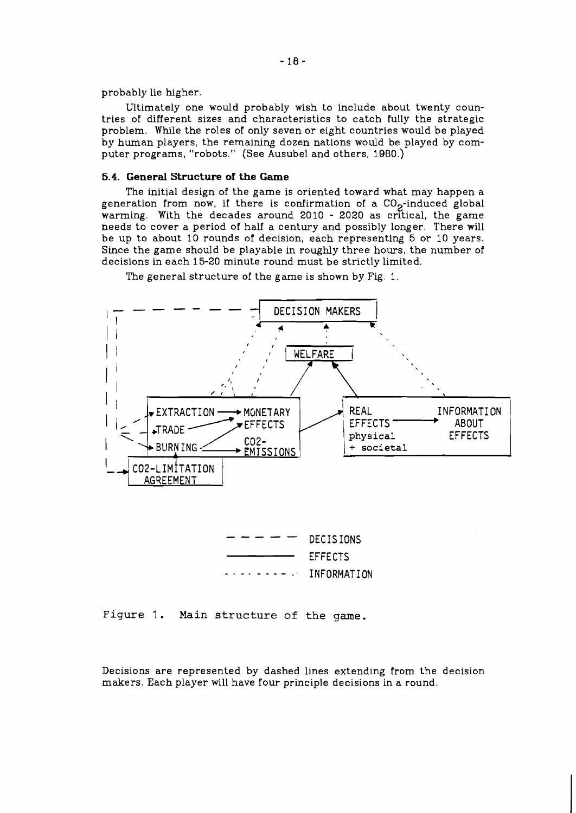probably lie higher.

Ultimately one would probably wish to include about twenty countries of different sizes and characteristics to catch fully the strategic problem. While the roles of only seven or eight countries would be played by human players, the remaining dozen nations would be played by computer programs, "robots." (See Ausubel and others, 1980.)

# **5.4. General Structure of the Game**

The initial design of the game is oriented toward what may happen a generation from now, if there is confirmation of a  $CO_2$ -induced global warming. With the decades around 2010 - 2020 as critical, the game needs to cover a period of half a century and possibly longer. There will be up to about 10 rounds of decision, each representing 5 or 10 years. Since the game should be playable in roughly three hours, the number of decisions in each 15-20 minute round must be strictly limited.





Figure 1. Main structure of the game.

Decisions are represented by dashed lines extending from the decision makers. Each player will have four principle decisions in a round.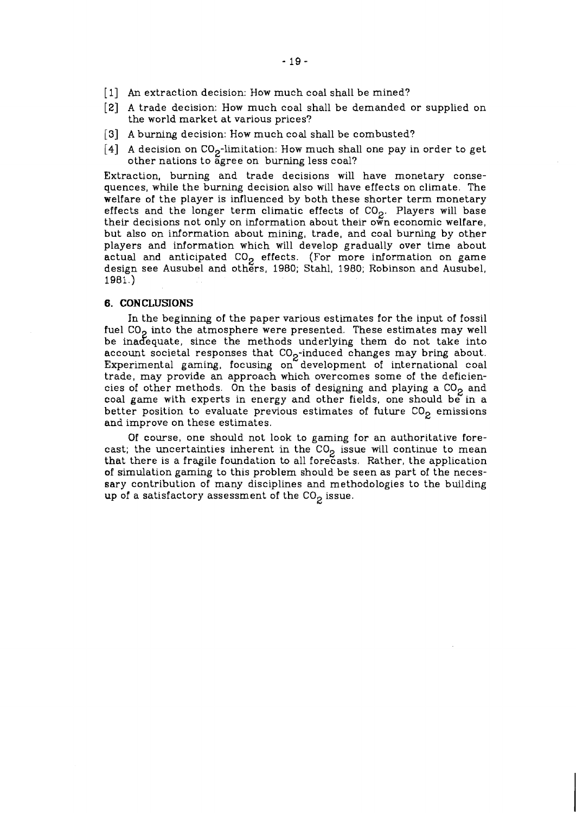- [1] An extraction decision: How much coal shall be mined?
- [2] A trade decision: How much coal shall be demanded or supplied on the world market at various prices?
- [3] A burning decision: How much coal shall be combusted?
- [4] A decision on  $CO<sub>2</sub>$ -limitation: How much shall one pay in order to get other nations to agree on burning less coal?

Extraction, burning and trade decisions will have monetary consequences, while the burning decision also will have effects on climate. The welfare of the player is influenced by both these shorter term monetary effects and the longer term climatic effects of  $CO_2$ . Players will base their decisions not only on information about their own economic welfare, but also on information about mining, trade, and coal burning by other players and information which will develop gradually over time about actual and anticipated  $CO_{2}$  effects. (For more information on game design see Ausubel and others, 1980; Stahl, 1980; Robinson and Ausubel, lQ8l.)

#### **6. CONCLUSIONS**

In the beginning of the paper various estimates for the input of fossil fuel CO<sub>2</sub> into the atmosphere were presented. These estimates may well be inadequate, since the methods underlying them do not take into account societal responses that  $\mathsf{CO}_{2}$ -induced changes may bring about.  ${\tt Experimental}$  gaming, focusing on development of international coal trade, may provide an approach which overcomes some of the deficiencies of other methods. On the basis of designing and playing a  $CO<sub>2</sub>$  and coal game with experts in energy and other fields, one should be in a better position to evaluate previous estimates of future  $CO_{2}$  emissions and improve on these estimates.

Of course, one should not look to gaming for an authoritative forecast; the uncertainties inherent in the  $CO_2$  issue will continue to mean that there is a fragile foundation to all forecasts. Rather, the application of simulation gaming to this problem should be seen as part of the necessary contribution of many disciplines and methodologies to the building up of a satisfactory assessment of the  $CO_{2}$  issue.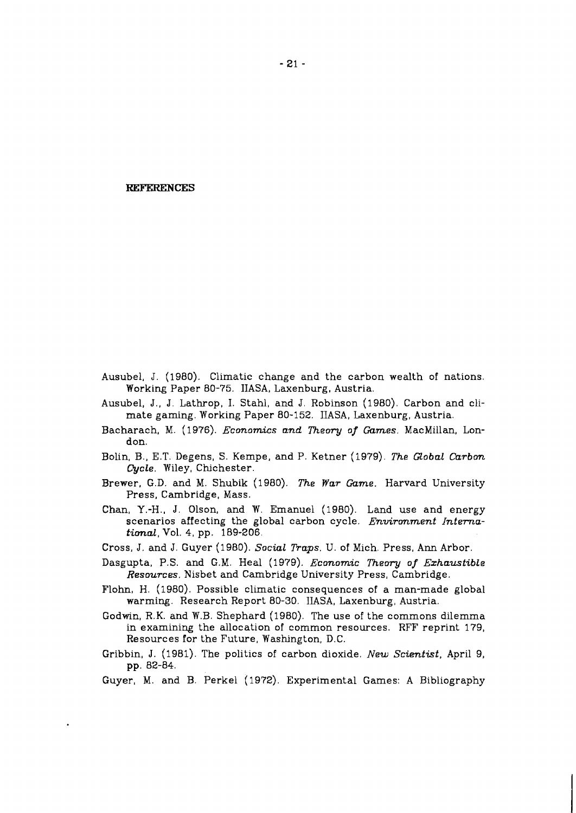#### **REFERENCES**

- Ausubel, J. (1980). Climatic change and the carbon wealth of nations. Working Paper 80-75. IIASA, Laxenburg, Austria.
- Ausubel, J., J. Lathrop, I. Stahl, and J. Robinson (1980). Carbon and climate gaming. Working Paper 80-152. IIASA, Laxenburg, Austria.
- Bacharach, M. (1976). *Economics and Theory of Games.* MacMillan, London.
- Bolin, B., E.T. Degens, S. Kempe, and P. Ketner (1979). *The Global Carbon*  Cycle. Wiley, Chichester.
- Brewer, G.D. and M. Shubik (1980). *The War Game.* Harvard University Press, Cambridge, Mass.
- Chan, Y.-H., J. Olson, and W. Emanuel (1980). Land use and energy scenarios affecting the global carbon cycle. *Environment International,* Vol. 4, pp. 189-206.
- Cross, J. and J. Guyer (1980). *Social Paps.* U. of Mich. Press, Ann Arbor.
- Dasgupta, P.S. and G.M. Heal (1979). *Economic Theory of Exhaustible Resources,* Nisbet and Cambridge University Press, Cambridge.
- Flohn, H. (1980). Possible climatic consequences of a man-made global warming. Research Report 80-30. IIASA, Laxenburg, Austria.
- Godwin, R.K. and W.B. Shephard (1980). The use of the commons dilemma in examining the allocation of common resources. RFF reprint 179, Resources for the Future, Washington, D.C.
- Gribbin, J. (1981). The politics of carbon dioxide. *New Scientist,* April 9, **pp.** 82-84.
- Guyer, M. and B. Perkel (1972). Experimental Games: A Bibliography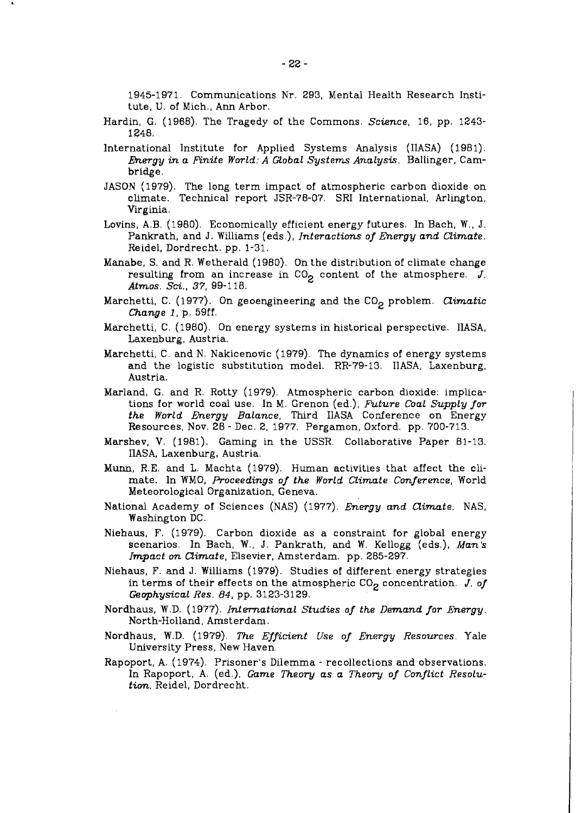1945-1971. Communications Nr. 293, Mental Health Research Institute, U. of Mich., Ann Arbor.

- Hardin, G. (1968). The Tragedy of the Commons. *Science,* 16, pp. 1243- 1248.
- International Institute for Applied Systems Analysis (IIASA) (1981). *hergy in a finite World: A Global Systems Analysis.* Ballinger, Cambridge.
- JASON (1979). The long term impact of atmospheric carbon dioxide on climate. Technical report JSR-78-07. SRI International, Arlington, Virginia .
- Lovins, A.B. (1980). Economically efficient energy futures. In Bach, W., J. Pankrath, and J. Williams (eds.), *Interactions of Energy and Climate.*  Reidel, Dordrecht. pp. 1-31.
- Manabe, S. and R. Wetherald (1980). On the distribution of climate change resulting from an increase in  $CO<sub>2</sub>$  content of the atmosphere. J. *Atmos. Sci., 37,* 99-1 18.
- Marchetti, C. (1977). On geoengineering and the CO<sub>2</sub> problem. *Climatic Change 1,* p. 59ff.
- Marchetti, C. (1980). On energy systems in historical perspective. IIASA, Laxenburg, Austria.
- Marchetti, C, and N. Nakicenovic (1979). The dynamics of energy systems and the logistic substitution model. RR-79-13. IIASA, Laxenburg, Austria.
- Marland, **G,** and R. Rotty (1979). Atmospheric carbon dioxide: implications for world coal use. In M. Grenon (ed.), *Future Coal Supply for the World Energy Balance,* Third IIASA Conference on Energy Resources, Nov. 28 - Dec. 2, 1977. Pergamon, Oxford. pp. 700-713.
- Marshev, V. (1981). Gaming in the USSR. Collaborative Paper 81-13. IIASA, Laxenburg, Austria.
- Munn, R.E. and L. Machta (1979). Human activities that affect the climate. In WMO, Proceedings of the World Climate Conference, World Meteorological Organization, Geneva.
- National Academy of Sciences (NAS) (1977). *Energy and Climate.* NAS, Washington DC.
- Niehaus, F. (1979). Carbon dioxide as a constraint for global energy scenarios. In Bach, W., J. Pankrath, and **W.** Kellogg (eds.), *Man's Impact on Climate,* Elsevier, Amsterdam. pp. 285-297.
- Niehaus, F. and J. Williams (1979). Studies of different energy strategies in terms of their effects on the atmospheric CO<sub>2</sub> concentration. J. of *Geophysical Res. 84,* pp. 3123-31 29.
- Nordhaus, W.D. (1977). *International Studies of the Demand for Energy.*  North-Holland, Amsterdam.
- Nordhaus, **W.D.** (1979). *The Efficient Use of Energy Resources.* Yale University Press, New Haven.
- Rapoport, A. ( 1974). Prisoner's Dilemma recollections and observations. In Rapoport, A. (ed.), *Game Theory as a Theory of Conflict Resolu*tion. Reidel, Dordrecht.